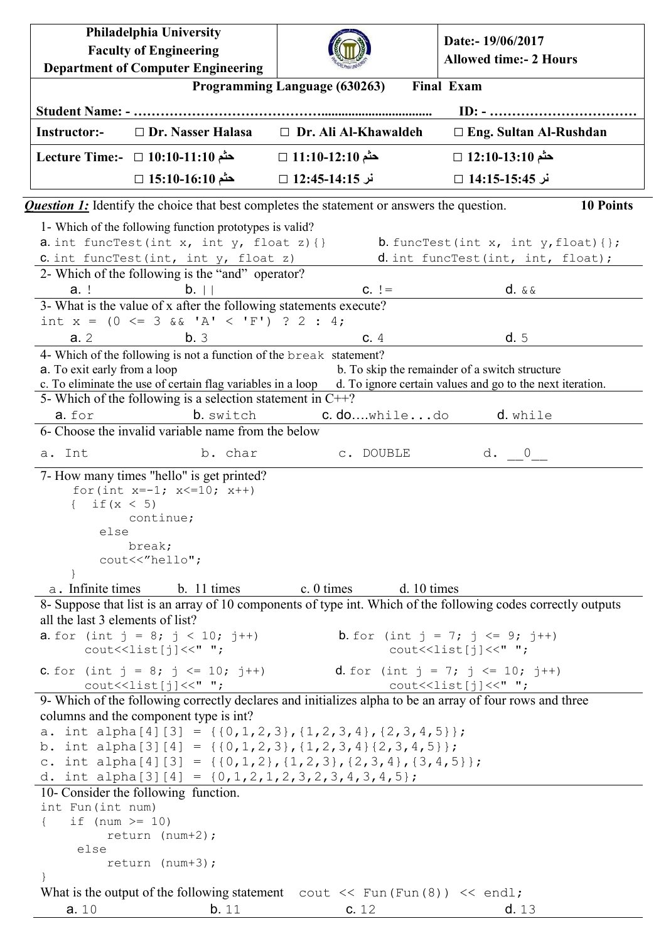| Philadelphia University                                                                                                                                                                                              |                                       | Date:- 19/06/2017                                                                          |  |  |  |  |  |
|----------------------------------------------------------------------------------------------------------------------------------------------------------------------------------------------------------------------|---------------------------------------|--------------------------------------------------------------------------------------------|--|--|--|--|--|
| <b>Faculty of Engineering</b>                                                                                                                                                                                        |                                       | <b>Allowed time:- 2 Hours</b>                                                              |  |  |  |  |  |
| <b>Department of Computer Engineering</b>                                                                                                                                                                            |                                       | <b>Final Exam</b>                                                                          |  |  |  |  |  |
| Programming Language (630263)                                                                                                                                                                                        |                                       |                                                                                            |  |  |  |  |  |
| $\Box$ Dr. Nasser Halasa<br>Instructor:-                                                                                                                                                                             | □ Dr. Ali Al-Khawaldeh                | $\Box$ Eng. Sultan Al-Rushdan                                                              |  |  |  |  |  |
| حثَّم 10:10-11:10 □ 1:10-11:10 Uecture Time:-                                                                                                                                                                        | حثم 11:10-12:10 □                     | حثم 12:10-13:10 □                                                                          |  |  |  |  |  |
| حثم 15:10-16:10 □                                                                                                                                                                                                    | نر 14:15-14:35 □                      | نر 15:45-14:15 □                                                                           |  |  |  |  |  |
|                                                                                                                                                                                                                      |                                       |                                                                                            |  |  |  |  |  |
| <b>Question 1:</b> Identify the choice that best completes the statement or answers the question.                                                                                                                    |                                       | <b>10 Points</b>                                                                           |  |  |  |  |  |
| 1- Which of the following function prototypes is valid?<br>a. int funcTest(int x, int $y$ , float z){}                                                                                                               |                                       | <b>b.</b> funcTest(int x, int $y$ , float){};                                              |  |  |  |  |  |
| C. int funcTest(int, int y, float z)                                                                                                                                                                                 |                                       | d. int funcTest (int, int, float);                                                         |  |  |  |  |  |
| 2- Which of the following is the "and" operator?                                                                                                                                                                     |                                       |                                                                                            |  |  |  |  |  |
| $b.$    <br>$a.$ !                                                                                                                                                                                                   | $C. \ \ \vdots =$                     | $d. \&\&$                                                                                  |  |  |  |  |  |
| 3- What is the value of x after the following statements execute?                                                                                                                                                    |                                       |                                                                                            |  |  |  |  |  |
| int $x = (0 \le 3 \& 1 \& 1 \le 'F')$ ? 2 : 4;                                                                                                                                                                       |                                       |                                                                                            |  |  |  |  |  |
| a.2<br>b.3                                                                                                                                                                                                           | c.4                                   | d.5                                                                                        |  |  |  |  |  |
| 4- Which of the following is not a function of the break statement?<br>a. To exit early from a loop                                                                                                                  |                                       | b. To skip the remainder of a switch structure                                             |  |  |  |  |  |
| c. To eliminate the use of certain flag variables in a loop                                                                                                                                                          |                                       | d. To ignore certain values and go to the next iteration.                                  |  |  |  |  |  |
| 5- Which of the following is a selection statement in $C++?$                                                                                                                                                         |                                       |                                                                                            |  |  |  |  |  |
| a. for<br>b. switch                                                                                                                                                                                                  | c.dowhiledo                           | d. while                                                                                   |  |  |  |  |  |
| 6- Choose the invalid variable name from the below                                                                                                                                                                   |                                       |                                                                                            |  |  |  |  |  |
| a. Int<br>b. char                                                                                                                                                                                                    | c. DOUBLE                             | d. 0                                                                                       |  |  |  |  |  |
| 7- How many times "hello" is get printed?<br>for (int $x=-1$ ; $x<=10$ ; $x++$ )<br>if $(x < 5)$<br>$\left\{ \right.$<br>continue;<br>else<br>break;<br>cout<<"hello";<br>a. Infinite times<br>$b. 11 \text{ times}$ | $\rm c. 0 \, times$<br>$d. 10 \times$ |                                                                                            |  |  |  |  |  |
| 8- Suppose that list is an array of 10 components of type int. Which of the following codes correctly outputs                                                                                                        |                                       |                                                                                            |  |  |  |  |  |
| all the last 3 elements of list?                                                                                                                                                                                     |                                       |                                                                                            |  |  |  |  |  |
| <b>a.</b> for (int $j = 8$ ; $j < 10$ ; $j++)$<br>$\text{count}(\text{dist}[j]) \leq \text{`` " }$                                                                                                                   |                                       | <b>b</b> . for (int $j = 7$ ; $j \le 9$ ; $j++)$<br>$\text{count}(\text{dist}[j])$ << " "; |  |  |  |  |  |
| <b>C.</b> for (int $j = 8$ ; $j \le 10$ ; $j++)$ <b>d.</b> for (int $j = 7$ ; $j \le 10$ ; $j++)$<br>$\text{count}(\text{dist}[j]) \ll " "$                                                                          |                                       | $\text{cout} \leq \text{list}[j] \leq \text{''''}$                                         |  |  |  |  |  |
| 9- Which of the following correctly declares and initializes alpha to be an array of four rows and three<br>columns and the component type is int?                                                                   |                                       |                                                                                            |  |  |  |  |  |
| a. int alpha[4][3] = { $\{(0,1,2,3), (1,2,3,4), (2,3,4,5)\};$<br>b. int alpha[3][4] = { $\{0, 1, 2, 3\}$ , {1, 2, 3, 4} $\{2, 3, 4, 5\}$ };<br>c. int alpha[4][3] = {{0,1,2}, {1,2,3}, {2,3,4}, {3,4,5}};            |                                       |                                                                                            |  |  |  |  |  |
| d. int alpha[3][4] = $\{0, 1, 2, 1, 2, 3, 2, 3, 4, 3, 4, 5\};$                                                                                                                                                       |                                       |                                                                                            |  |  |  |  |  |
| 10- Consider the following function.<br>int Fun(int num)                                                                                                                                                             |                                       |                                                                                            |  |  |  |  |  |
| if (num $\ge$ 10)<br>$\left\{ \right.$<br>return $(num+2)$ ;                                                                                                                                                         |                                       |                                                                                            |  |  |  |  |  |
| else                                                                                                                                                                                                                 |                                       |                                                                                            |  |  |  |  |  |
| return $(num+3)$ ;                                                                                                                                                                                                   |                                       |                                                                                            |  |  |  |  |  |
| $\mathcal{F}$                                                                                                                                                                                                        |                                       |                                                                                            |  |  |  |  |  |
| What is the output of the following statement cout $\langle \xi \rangle$ Fun (Fun (8)) $\langle \xi \rangle$ endl;<br>b.11<br>a.10                                                                                   | c. 12                                 | d. 13                                                                                      |  |  |  |  |  |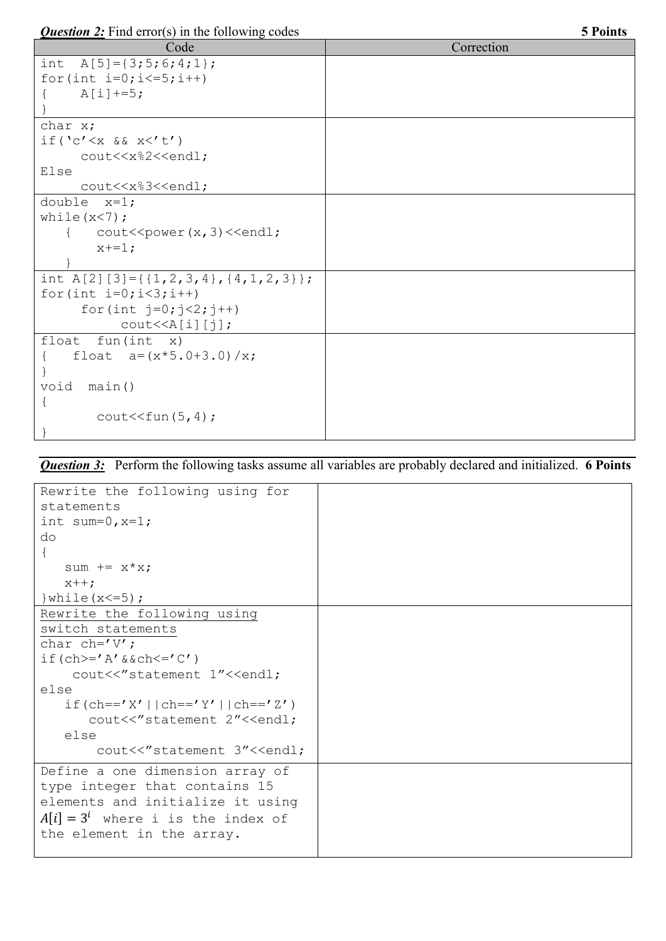*Question 2:* **Find error(s) in the following codes 5 Points 5 Points** 

| <i>Putshon</i> $\overline{z}$ . Thu critic <sub>i</sub> $\overline{z}$ in the following cours | O L VIII W |  |  |
|-----------------------------------------------------------------------------------------------|------------|--|--|
| Code                                                                                          | Correction |  |  |
| int $A[5] = \{3; 5; 6; 4; 1\};$                                                               |            |  |  |
| for (int $i=0; i<=5; i++)$                                                                    |            |  |  |
| $A[i]+=5;$                                                                                    |            |  |  |
|                                                                                               |            |  |  |
| char x;                                                                                       |            |  |  |
| if('c' < x & & x & x < 't')                                                                   |            |  |  |
| cout< <x%2<<endl;< td=""><td></td></x%2<<endl;<>                                              |            |  |  |
| Else                                                                                          |            |  |  |
| cout< <x%3<<endl;< td=""><td></td></x%3<<endl;<>                                              |            |  |  |
| double $x=1$ ;                                                                                |            |  |  |
| while $(x < 7)$ ;                                                                             |            |  |  |
| $\text{cout} \leq \text{power}(x, 3) \leq \text{endl};$                                       |            |  |  |
| $x+=1;$                                                                                       |            |  |  |
|                                                                                               |            |  |  |
| int A[2][3]={{1,2,3,4}, {4, 1, 2, 3}};                                                        |            |  |  |
| for (int $i=0; i<3; i++)$                                                                     |            |  |  |
| for (int $j=0; j<2; j++)$                                                                     |            |  |  |
| $\text{cout} \le \text{A[i][j]}$                                                              |            |  |  |
| float fun $(int x)$                                                                           |            |  |  |
| float $a = (x * 5.0 + 3.0) / x;$                                                              |            |  |  |
|                                                                                               |            |  |  |
| void<br>main()                                                                                |            |  |  |
| $\mathcal{L}$                                                                                 |            |  |  |
| $\text{cout} \leq \text{fun}(5, 4)$ ;                                                         |            |  |  |
|                                                                                               |            |  |  |

## *Question 3:* Perform the following tasks assume all variables are probably declared and initialized. **6 Points**

| Rewrite the following using for                       |  |
|-------------------------------------------------------|--|
| statements                                            |  |
| int sum= $0, x=1;$                                    |  |
| do                                                    |  |
|                                                       |  |
| sum $+= x * x;$                                       |  |
| $x++$ ;                                               |  |
| } while $(x < = 5)$ ;                                 |  |
| Rewrite the following using                           |  |
| switch statements                                     |  |
| char ch= $'V'$ ;                                      |  |
| if $(ch>=' A' \&cch<=' C')$                           |  |
| cout<<"statement 1"< <endl;< td=""><td></td></endl;<> |  |
| else                                                  |  |
| if $(ch=='X'    ch=='Y'    ch=='Z')$                  |  |
| cout<<"statement 2"< <endl;< td=""><td></td></endl;<> |  |
| else                                                  |  |
| cout<<"statement 3"< <endl;< td=""><td></td></endl;<> |  |
| Define a one dimension array of                       |  |
| type integer that contains 15                         |  |
| elements and initialize it using                      |  |
| $A[i] = 3^i$ where i is the index of                  |  |
| the element in the array.                             |  |
|                                                       |  |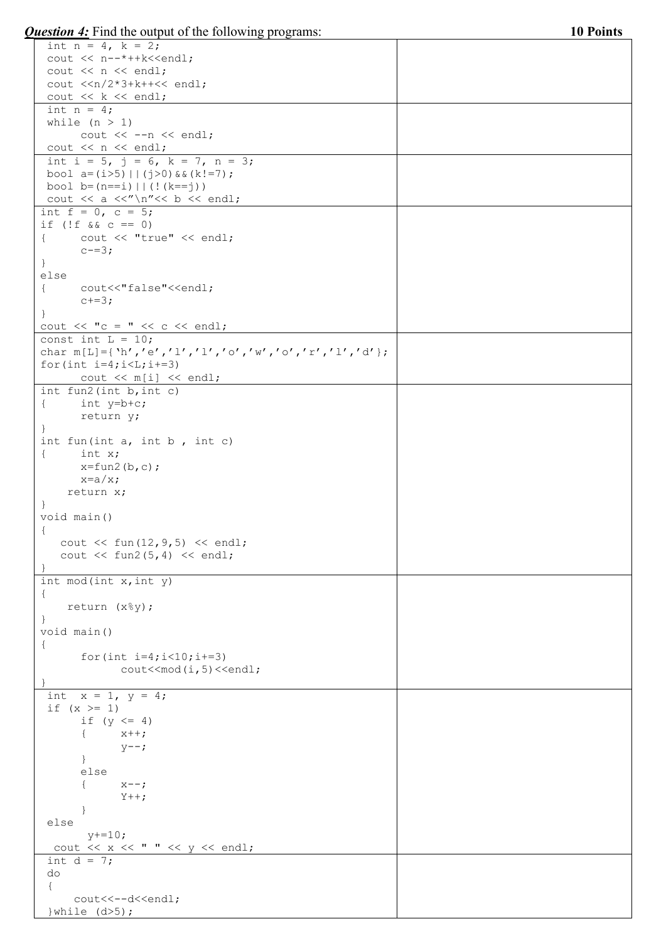*Question 4:* Find the output of the following programs: **10 Points**

| int $n = 4$ , $k = 2$ ;                                                                                      |  |
|--------------------------------------------------------------------------------------------------------------|--|
| cout << n--*++k< <endl;< td=""><td></td></endl;<>                                                            |  |
| cout $<< n <<$ endl;                                                                                         |  |
| cout $\langle n/2*3+k++\langle n/2 \rangle$                                                                  |  |
| cout $<< k <<$ endl;                                                                                         |  |
| int $n = 4$ ;                                                                                                |  |
| while $(n > 1)$                                                                                              |  |
| cout $<<$ --n $<<$ endl;                                                                                     |  |
|                                                                                                              |  |
| cout $\lt\lt$ n $\lt\lt$ endl;                                                                               |  |
| int i = 5, j = 6, k = 7, n = 3;                                                                              |  |
| bool $a=(i>5)$   $(i>0)$ & $(k!=7)$ ;                                                                        |  |
| bool $b=(n == i)     (!(k == j))$                                                                            |  |
| cout $\langle \langle a \rangle \langle a \rangle \langle b \rangle$ and $\langle \langle a \rangle \rangle$ |  |
| int $f = 0$ , $c = 5$ ;                                                                                      |  |
| if $(!f \&c = 0)$                                                                                            |  |
| cout << "true" << endl;<br>$\left\{ \right.$                                                                 |  |
| $c = 3;$                                                                                                     |  |
| $\mathcal{F}$                                                                                                |  |
| else                                                                                                         |  |
| cout<<"false"< <endl;<br><math>\left\{ \right.</math></endl;<br>                                             |  |
| $c+=3;$                                                                                                      |  |
|                                                                                                              |  |
| $\mathcal{F}$                                                                                                |  |
| cout $\langle\langle$ "c = " $\langle\langle$ c $\langle$ endl;                                              |  |
| const int $L = 10$ ;                                                                                         |  |
| char $m[L] = \{ 'h', 'e', 'l', 'l', 'o', 'w', 'o', 'r', 'l', 'd' \};$                                        |  |
| for $(int i=4; i< L; i+=3)$                                                                                  |  |
| cout $\langle \langle m[i] \rangle \langle \langle end \rangle$                                              |  |
| int fun2(int b, int c)                                                                                       |  |
| int $y=b+c$ ;<br>$\{$                                                                                        |  |
| return y;                                                                                                    |  |
|                                                                                                              |  |
| int fun(int $a$ , int $b$ , int $c$ )                                                                        |  |
| $\{$ int x;                                                                                                  |  |
| $x=fun2(b,c);$                                                                                               |  |
| $x=a/x;$                                                                                                     |  |
| return x;                                                                                                    |  |
|                                                                                                              |  |
| $\mathcal{F}$                                                                                                |  |
| void main ()                                                                                                 |  |
| $\left\{ \right.$                                                                                            |  |
| cout $<<$ fun(12, 9, 5) $<<$ endl;                                                                           |  |
| cout $<<$ fun2 $(5, 4)$ $<<$ endl;                                                                           |  |
|                                                                                                              |  |
| int mod(int $x$ , int $y$ )                                                                                  |  |
| $\{$                                                                                                         |  |
| return (x%y);                                                                                                |  |
|                                                                                                              |  |
| void main ()                                                                                                 |  |
| $\{$                                                                                                         |  |
| for (int $i=4$ ; $i<10$ ; $i+=3$ )                                                                           |  |
| $\text{cout} \leq \text{mod}(i, 5) \leq \text{end}$ ;                                                        |  |
|                                                                                                              |  |
| int $x = 1$ , $y = 4$ ;                                                                                      |  |
| if $(x > = 1)$                                                                                               |  |
| if $(y \leq 4)$                                                                                              |  |
|                                                                                                              |  |
| $x++;$                                                                                                       |  |
| $y--;$                                                                                                       |  |
|                                                                                                              |  |
| else                                                                                                         |  |
| $x--;$                                                                                                       |  |
| $Y++;$                                                                                                       |  |
|                                                                                                              |  |
| else                                                                                                         |  |
| $y+=10;$                                                                                                     |  |
| cout $\langle \langle x \rangle \langle x \rangle$ " $\langle \langle y \rangle \langle x \rangle$ endl;     |  |
| int $d = 7$ ;                                                                                                |  |
| do                                                                                                           |  |
| $\{$                                                                                                         |  |
| cout<<--d< <endl;< td=""><td></td></endl;<>                                                                  |  |
|                                                                                                              |  |
| } while $(d>5)$ ;                                                                                            |  |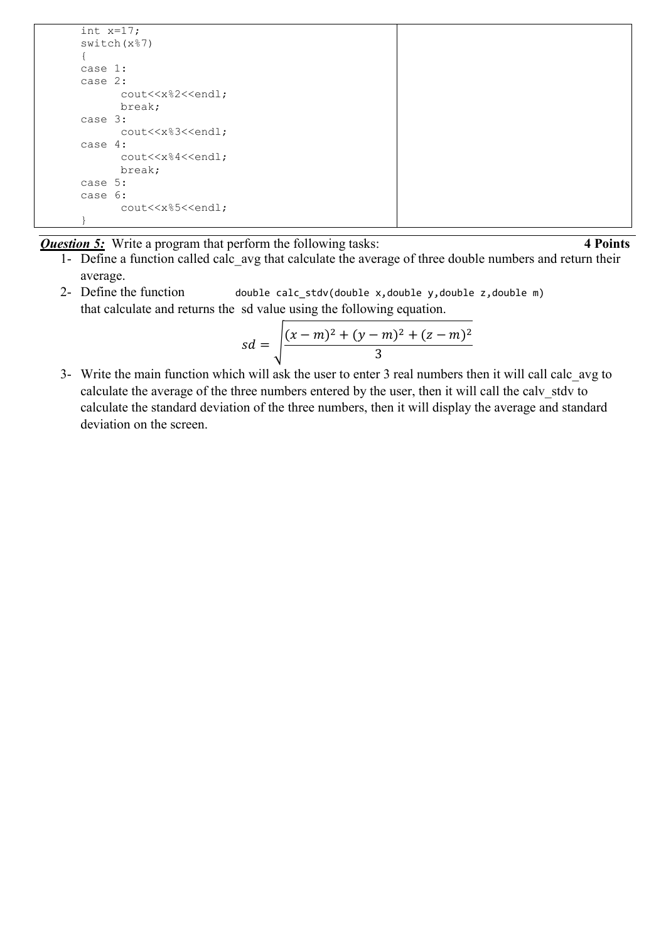```
 int x=17;
switch(x%7)
{
case 1:
case 2:
      cout<<x%2<<endl;
      break;
case 3:
      cout<<x%3<<endl;
case 4:
      cout<<x%4<<endl;
      break;
case 5:
case 6:
      cout<<x%5<<endl;
}
```
*Question 5:* Write a program that perform the following tasks: 4 **Points** 

- 1- Define a function called calc\_avg that calculate the average of three double numbers and return their average.
- 2- Define the function double calc\_stdv(double x,double y,double z,double m) that calculate and returns the sd value using the following equation.

$$
sd = \sqrt{\frac{(x-m)^2 + (y-m)^2 + (z-m)^2}{3}}
$$

3- Write the main function which will ask the user to enter 3 real numbers then it will call calc\_avg to calculate the average of the three numbers entered by the user, then it will call the calv stdv to calculate the standard deviation of the three numbers, then it will display the average and standard deviation on the screen.